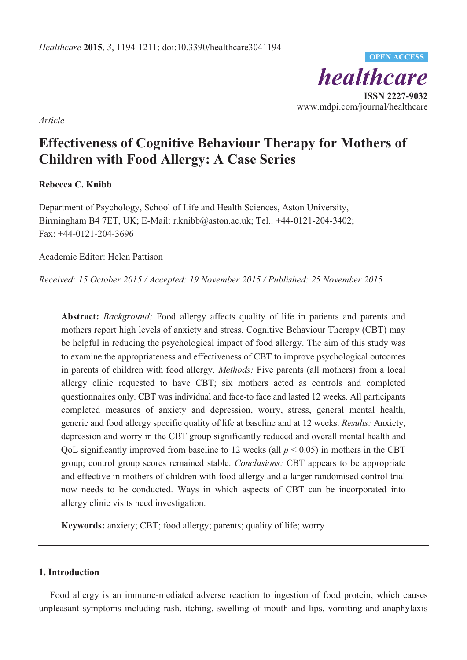*healthcare*  **ISSN 2227-9032**  www.mdpi.com/journal/healthcare **OPEN ACCESS**

*Article* 

# **Effectiveness of Cognitive Behaviour Therapy for Mothers of Children with Food Allergy: A Case Series**

# **Rebecca C. Knibb**

Department of Psychology, School of Life and Health Sciences, Aston University, Birmingham B4 7ET, UK; E-Mail: r.knibb@aston.ac.uk; Tel.: +44-0121-204-3402; Fax: +44-0121-204-3696

Academic Editor: Helen Pattison

*Received: 15 October 2015 / Accepted: 19 November 2015 / Published: 25 November 2015* 

**Abstract:** *Background:* Food allergy affects quality of life in patients and parents and mothers report high levels of anxiety and stress. Cognitive Behaviour Therapy (CBT) may be helpful in reducing the psychological impact of food allergy. The aim of this study was to examine the appropriateness and effectiveness of CBT to improve psychological outcomes in parents of children with food allergy. *Methods:* Five parents (all mothers) from a local allergy clinic requested to have CBT; six mothers acted as controls and completed questionnaires only. CBT was individual and face-to face and lasted 12 weeks. All participants completed measures of anxiety and depression, worry, stress, general mental health, generic and food allergy specific quality of life at baseline and at 12 weeks. *Results:* Anxiety, depression and worry in the CBT group significantly reduced and overall mental health and QoL significantly improved from baseline to 12 weeks (all  $p < 0.05$ ) in mothers in the CBT group; control group scores remained stable. *Conclusions:* CBT appears to be appropriate and effective in mothers of children with food allergy and a larger randomised control trial now needs to be conducted. Ways in which aspects of CBT can be incorporated into allergy clinic visits need investigation.

**Keywords:** anxiety; CBT; food allergy; parents; quality of life; worry

# **1. Introduction**

Food allergy is an immune-mediated adverse reaction to ingestion of food protein, which causes unpleasant symptoms including rash, itching, swelling of mouth and lips, vomiting and anaphylaxis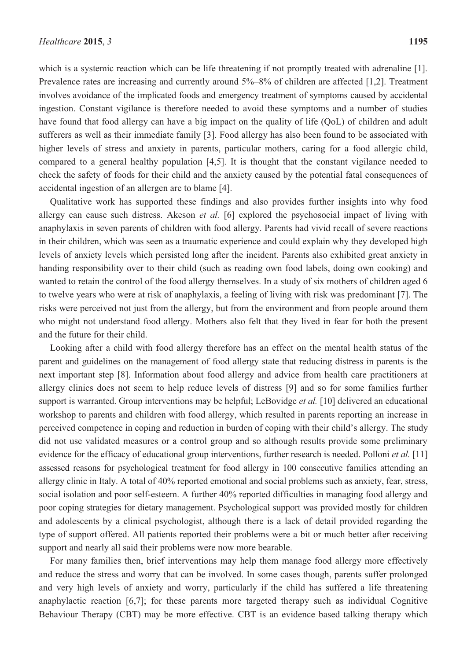which is a systemic reaction which can be life threatening if not promptly treated with adrenaline [1]. Prevalence rates are increasing and currently around 5%–8% of children are affected [1,2]. Treatment involves avoidance of the implicated foods and emergency treatment of symptoms caused by accidental ingestion. Constant vigilance is therefore needed to avoid these symptoms and a number of studies have found that food allergy can have a big impact on the quality of life (QoL) of children and adult sufferers as well as their immediate family [3]. Food allergy has also been found to be associated with higher levels of stress and anxiety in parents, particular mothers, caring for a food allergic child, compared to a general healthy population [4,5]. It is thought that the constant vigilance needed to check the safety of foods for their child and the anxiety caused by the potential fatal consequences of accidental ingestion of an allergen are to blame [4].

Qualitative work has supported these findings and also provides further insights into why food allergy can cause such distress. Akeson *et al.* [6] explored the psychosocial impact of living with anaphylaxis in seven parents of children with food allergy. Parents had vivid recall of severe reactions in their children, which was seen as a traumatic experience and could explain why they developed high levels of anxiety levels which persisted long after the incident. Parents also exhibited great anxiety in handing responsibility over to their child (such as reading own food labels, doing own cooking) and wanted to retain the control of the food allergy themselves. In a study of six mothers of children aged 6 to twelve years who were at risk of anaphylaxis, a feeling of living with risk was predominant [7]. The risks were perceived not just from the allergy, but from the environment and from people around them who might not understand food allergy. Mothers also felt that they lived in fear for both the present and the future for their child.

Looking after a child with food allergy therefore has an effect on the mental health status of the parent and guidelines on the management of food allergy state that reducing distress in parents is the next important step [8]. Information about food allergy and advice from health care practitioners at allergy clinics does not seem to help reduce levels of distress [9] and so for some families further support is warranted. Group interventions may be helpful; LeBovidge *et al.* [10] delivered an educational workshop to parents and children with food allergy, which resulted in parents reporting an increase in perceived competence in coping and reduction in burden of coping with their child's allergy. The study did not use validated measures or a control group and so although results provide some preliminary evidence for the efficacy of educational group interventions, further research is needed. Polloni *et al.* [11] assessed reasons for psychological treatment for food allergy in 100 consecutive families attending an allergy clinic in Italy. A total of 40% reported emotional and social problems such as anxiety, fear, stress, social isolation and poor self-esteem. A further 40% reported difficulties in managing food allergy and poor coping strategies for dietary management. Psychological support was provided mostly for children and adolescents by a clinical psychologist, although there is a lack of detail provided regarding the type of support offered. All patients reported their problems were a bit or much better after receiving support and nearly all said their problems were now more bearable.

For many families then, brief interventions may help them manage food allergy more effectively and reduce the stress and worry that can be involved. In some cases though, parents suffer prolonged and very high levels of anxiety and worry, particularly if the child has suffered a life threatening anaphylactic reaction [6,7]; for these parents more targeted therapy such as individual Cognitive Behaviour Therapy (CBT) may be more effective. CBT is an evidence based talking therapy which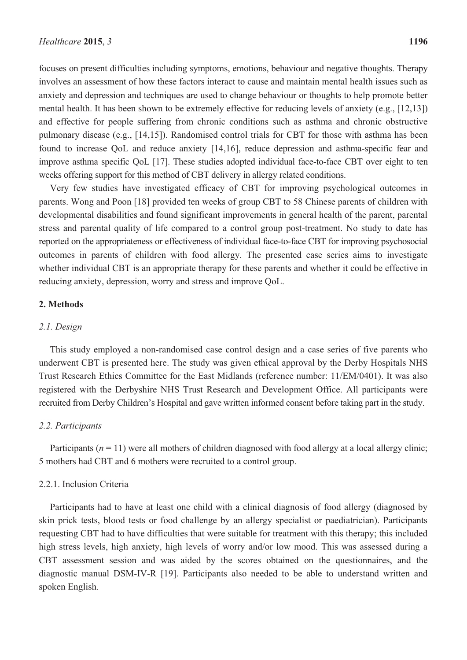focuses on present difficulties including symptoms, emotions, behaviour and negative thoughts. Therapy involves an assessment of how these factors interact to cause and maintain mental health issues such as anxiety and depression and techniques are used to change behaviour or thoughts to help promote better mental health. It has been shown to be extremely effective for reducing levels of anxiety (e.g., [12,13]) and effective for people suffering from chronic conditions such as asthma and chronic obstructive pulmonary disease (e.g., [14,15]). Randomised control trials for CBT for those with asthma has been found to increase QoL and reduce anxiety [14,16], reduce depression and asthma-specific fear and improve asthma specific QoL [17]. These studies adopted individual face-to-face CBT over eight to ten weeks offering support for this method of CBT delivery in allergy related conditions.

Very few studies have investigated efficacy of CBT for improving psychological outcomes in parents. Wong and Poon [18] provided ten weeks of group CBT to 58 Chinese parents of children with developmental disabilities and found significant improvements in general health of the parent, parental stress and parental quality of life compared to a control group post-treatment. No study to date has reported on the appropriateness or effectiveness of individual face-to-face CBT for improving psychosocial outcomes in parents of children with food allergy. The presented case series aims to investigate whether individual CBT is an appropriate therapy for these parents and whether it could be effective in reducing anxiety, depression, worry and stress and improve QoL.

# **2. Methods**

#### *2.1. Design*

This study employed a non-randomised case control design and a case series of five parents who underwent CBT is presented here. The study was given ethical approval by the Derby Hospitals NHS Trust Research Ethics Committee for the East Midlands (reference number: 11/EM/0401). It was also registered with the Derbyshire NHS Trust Research and Development Office. All participants were recruited from Derby Children's Hospital and gave written informed consent before taking part in the study.

## *2.2. Participants*

Participants  $(n = 11)$  were all mothers of children diagnosed with food allergy at a local allergy clinic; 5 mothers had CBT and 6 mothers were recruited to a control group.

# 2.2.1. Inclusion Criteria

Participants had to have at least one child with a clinical diagnosis of food allergy (diagnosed by skin prick tests, blood tests or food challenge by an allergy specialist or paediatrician). Participants requesting CBT had to have difficulties that were suitable for treatment with this therapy; this included high stress levels, high anxiety, high levels of worry and/or low mood. This was assessed during a CBT assessment session and was aided by the scores obtained on the questionnaires, and the diagnostic manual DSM-IV-R [19]. Participants also needed to be able to understand written and spoken English.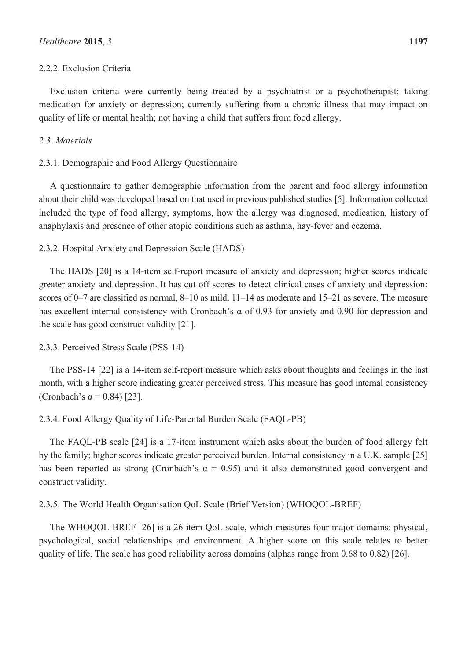## 2.2.2. Exclusion Criteria

Exclusion criteria were currently being treated by a psychiatrist or a psychotherapist; taking medication for anxiety or depression; currently suffering from a chronic illness that may impact on quality of life or mental health; not having a child that suffers from food allergy.

# *2.3. Materials*

## 2.3.1. Demographic and Food Allergy Questionnaire

A questionnaire to gather demographic information from the parent and food allergy information about their child was developed based on that used in previous published studies [5]. Information collected included the type of food allergy, symptoms, how the allergy was diagnosed, medication, history of anaphylaxis and presence of other atopic conditions such as asthma, hay-fever and eczema.

# 2.3.2. Hospital Anxiety and Depression Scale (HADS)

The HADS [20] is a 14-item self-report measure of anxiety and depression; higher scores indicate greater anxiety and depression. It has cut off scores to detect clinical cases of anxiety and depression: scores of 0–7 are classified as normal, 8–10 as mild, 11–14 as moderate and 15–21 as severe. The measure has excellent internal consistency with Cronbach's α of 0.93 for anxiety and 0.90 for depression and the scale has good construct validity [21].

#### 2.3.3. Perceived Stress Scale (PSS-14)

The PSS-14 [22] is a 14-item self-report measure which asks about thoughts and feelings in the last month, with a higher score indicating greater perceived stress. This measure has good internal consistency (Cronbach's  $\alpha$  = 0.84) [23].

#### 2.3.4. Food Allergy Quality of Life-Parental Burden Scale (FAQL-PB)

The FAQL-PB scale [24] is a 17-item instrument which asks about the burden of food allergy felt by the family; higher scores indicate greater perceived burden. Internal consistency in a U.K. sample [25] has been reported as strong (Cronbach's  $\alpha = 0.95$ ) and it also demonstrated good convergent and construct validity.

## 2.3.5. The World Health Organisation QoL Scale (Brief Version) (WHOQOL-BREF)

The WHOQOL-BREF [26] is a 26 item QoL scale, which measures four major domains: physical, psychological, social relationships and environment. A higher score on this scale relates to better quality of life. The scale has good reliability across domains (alphas range from 0.68 to 0.82) [26].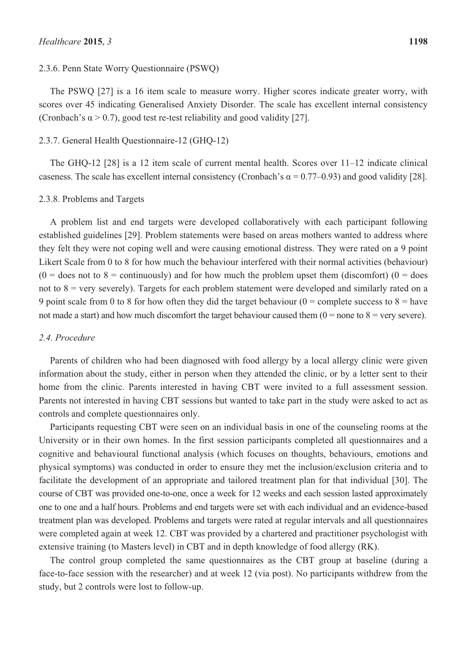## 2.3.6. Penn State Worry Questionnaire (PSWQ)

The PSWQ [27] is a 16 item scale to measure worry. Higher scores indicate greater worry, with scores over 45 indicating Generalised Anxiety Disorder. The scale has excellent internal consistency (Cronbach's  $\alpha$  > 0.7), good test re-test reliability and good validity [27].

#### 2.3.7. General Health Questionnaire-12 (GHQ-12)

The GHQ-12 [28] is a 12 item scale of current mental health. Scores over 11–12 indicate clinical caseness. The scale has excellent internal consistency (Cronbach's  $\alpha = 0.77{\text -}0.93$ ) and good validity [28].

#### 2.3.8. Problems and Targets

A problem list and end targets were developed collaboratively with each participant following established guidelines [29]. Problem statements were based on areas mothers wanted to address where they felt they were not coping well and were causing emotional distress. They were rated on a 9 point Likert Scale from 0 to 8 for how much the behaviour interfered with their normal activities (behaviour)  $(0 =$  does not to  $8 =$  continuously) and for how much the problem upset them (discomfort)  $(0 =$  does not to 8 = very severely). Targets for each problem statement were developed and similarly rated on a 9 point scale from 0 to 8 for how often they did the target behaviour ( $0 =$  complete success to  $8 =$  have not made a start) and how much discomfort the target behaviour caused them  $(0 =$  none to  $8 =$  very severe).

## *2.4. Procedure*

Parents of children who had been diagnosed with food allergy by a local allergy clinic were given information about the study, either in person when they attended the clinic, or by a letter sent to their home from the clinic. Parents interested in having CBT were invited to a full assessment session. Parents not interested in having CBT sessions but wanted to take part in the study were asked to act as controls and complete questionnaires only.

Participants requesting CBT were seen on an individual basis in one of the counseling rooms at the University or in their own homes. In the first session participants completed all questionnaires and a cognitive and behavioural functional analysis (which focuses on thoughts, behaviours, emotions and physical symptoms) was conducted in order to ensure they met the inclusion/exclusion criteria and to facilitate the development of an appropriate and tailored treatment plan for that individual [30]. The course of CBT was provided one-to-one, once a week for 12 weeks and each session lasted approximately one to one and a half hours. Problems and end targets were set with each individual and an evidence-based treatment plan was developed. Problems and targets were rated at regular intervals and all questionnaires were completed again at week 12. CBT was provided by a chartered and practitioner psychologist with extensive training (to Masters level) in CBT and in depth knowledge of food allergy (RK).

The control group completed the same questionnaires as the CBT group at baseline (during a face-to-face session with the researcher) and at week 12 (via post). No participants withdrew from the study, but 2 controls were lost to follow-up.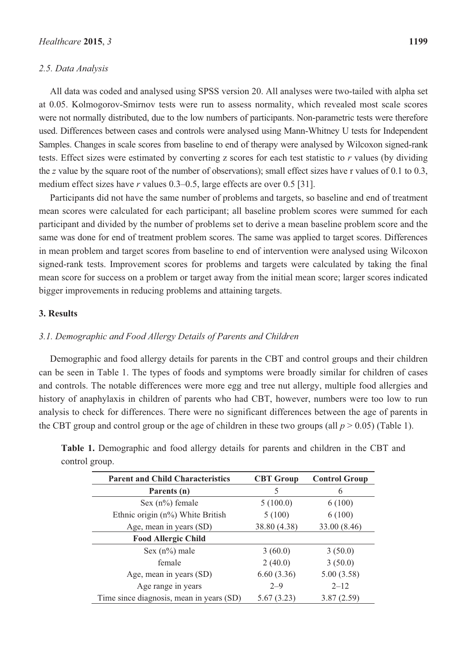#### *2.5. Data Analysis*

All data was coded and analysed using SPSS version 20. All analyses were two-tailed with alpha set at 0.05. Kolmogorov-Smirnov tests were run to assess normality, which revealed most scale scores were not normally distributed, due to the low numbers of participants. Non-parametric tests were therefore used. Differences between cases and controls were analysed using Mann-Whitney U tests for Independent Samples. Changes in scale scores from baseline to end of therapy were analysed by Wilcoxon signed-rank tests. Effect sizes were estimated by converting z scores for each test statistic to *r* values (by dividing the *z* value by the square root of the number of observations); small effect sizes have r values of 0.1 to 0.3, medium effect sizes have *r* values 0.3–0.5, large effects are over 0.5 [31].

Participants did not have the same number of problems and targets, so baseline and end of treatment mean scores were calculated for each participant; all baseline problem scores were summed for each participant and divided by the number of problems set to derive a mean baseline problem score and the same was done for end of treatment problem scores. The same was applied to target scores. Differences in mean problem and target scores from baseline to end of intervention were analysed using Wilcoxon signed-rank tests. Improvement scores for problems and targets were calculated by taking the final mean score for success on a problem or target away from the initial mean score; larger scores indicated bigger improvements in reducing problems and attaining targets.

# **3. Results**

#### *3.1. Demographic and Food Allergy Details of Parents and Children*

Demographic and food allergy details for parents in the CBT and control groups and their children can be seen in Table 1. The types of foods and symptoms were broadly similar for children of cases and controls. The notable differences were more egg and tree nut allergy, multiple food allergies and history of anaphylaxis in children of parents who had CBT, however, numbers were too low to run analysis to check for differences. There were no significant differences between the age of parents in the CBT group and control group or the age of children in these two groups (all  $p > 0.05$ ) (Table 1).

| <b>Parent and Child Characteristics</b>  | <b>CBT</b> Group | <b>Control Group</b> |
|------------------------------------------|------------------|----------------------|
| Parents (n)                              | 5                | 6                    |
| Sex $(n\%)$ female                       | 5(100.0)         | 6(100)               |
| Ethnic origin (n%) White British         | 5(100)           | 6(100)               |
| Age, mean in years (SD)                  | 38.80 (4.38)     | 33.00 (8.46)         |
| <b>Food Allergic Child</b>               |                  |                      |
| Sex $(n\%)$ male                         | 3(60.0)          | 3(50.0)              |
| female                                   | 2(40.0)          | 3(50.0)              |
| Age, mean in years (SD)                  | 6.60(3.36)       | 5.00(3.58)           |
| Age range in years                       | $2 - 9$          | $2 - 12$             |
| Time since diagnosis, mean in years (SD) | 5.67(3.23)       | 3.87(2.59)           |

**Table 1.** Demographic and food allergy details for parents and children in the CBT and control group.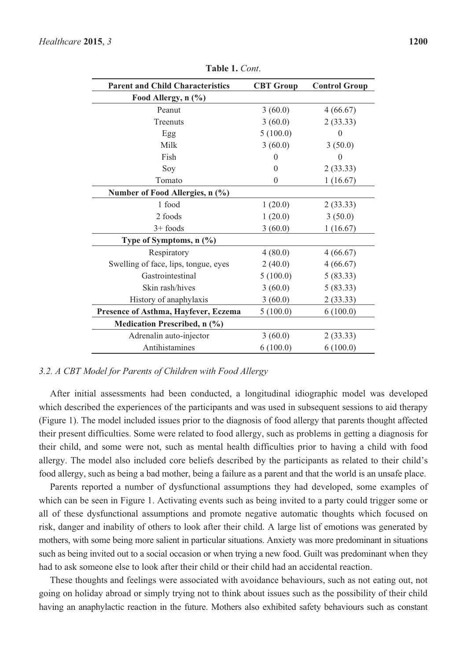| <b>Parent and Child Characteristics</b> | <b>CBT</b> Group | <b>Control Group</b> |  |
|-----------------------------------------|------------------|----------------------|--|
| Food Allergy, n (%)                     |                  |                      |  |
| Peanut                                  | 3(60.0)          | 4(66.67)             |  |
| Treenuts                                | 3(60.0)          | 2(33.33)             |  |
| Egg                                     | 5(100.0)         | 0                    |  |
| Milk                                    | 3(60.0)          | 3(50.0)              |  |
| Fish                                    | $\mathbf{0}$     | 0                    |  |
| Soy                                     | $\Omega$         | 2(33.33)             |  |
| Tomato                                  | $\Omega$         | 1(16.67)             |  |
| Number of Food Allergies, n (%)         |                  |                      |  |
| 1 food                                  | 1(20.0)          | 2(33.33)             |  |
| 2 foods                                 | 1(20.0)          | 3(50.0)              |  |
| $3+$ foods                              | 3(60.0)          | 1(16.67)             |  |
| Type of Symptoms, n (%)                 |                  |                      |  |
| Respiratory                             | 4(80.0)          | 4(66.67)             |  |
| Swelling of face, lips, tongue, eyes    | 2(40.0)          | 4(66.67)             |  |
| Gastrointestinal                        | 5(100.0)         | 5(83.33)             |  |
| Skin rash/hives                         | 3(60.0)          | 5(83.33)             |  |
| History of anaphylaxis                  | 3(60.0)          | 2(33.33)             |  |
| Presence of Asthma, Hayfever, Eczema    | 5(100.0)         | 6(100.0)             |  |
| Medication Prescribed, n (%)            |                  |                      |  |
| Adrenalin auto-injector                 | 3(60.0)          | 2(33.33)             |  |
| Antihistamines                          | 6(100.0)         | 6(100.0)             |  |

**Table 1.** *Cont*.

# *3.2. A CBT Model for Parents of Children with Food Allergy*

After initial assessments had been conducted, a longitudinal idiographic model was developed which described the experiences of the participants and was used in subsequent sessions to aid therapy (Figure 1). The model included issues prior to the diagnosis of food allergy that parents thought affected their present difficulties. Some were related to food allergy, such as problems in getting a diagnosis for their child, and some were not, such as mental health difficulties prior to having a child with food allergy. The model also included core beliefs described by the participants as related to their child's food allergy, such as being a bad mother, being a failure as a parent and that the world is an unsafe place.

Parents reported a number of dysfunctional assumptions they had developed, some examples of which can be seen in Figure 1. Activating events such as being invited to a party could trigger some or all of these dysfunctional assumptions and promote negative automatic thoughts which focused on risk, danger and inability of others to look after their child. A large list of emotions was generated by mothers, with some being more salient in particular situations. Anxiety was more predominant in situations such as being invited out to a social occasion or when trying a new food. Guilt was predominant when they had to ask someone else to look after their child or their child had an accidental reaction.

These thoughts and feelings were associated with avoidance behaviours, such as not eating out, not going on holiday abroad or simply trying not to think about issues such as the possibility of their child having an anaphylactic reaction in the future. Mothers also exhibited safety behaviours such as constant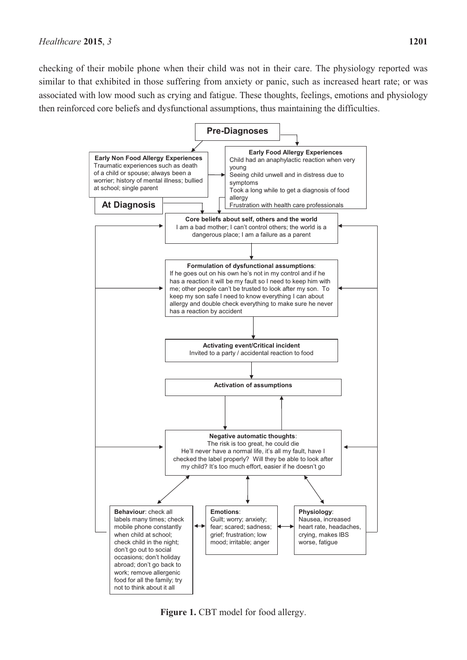checking of their mobile phone when their child was not in their care. The physiology reported was similar to that exhibited in those suffering from anxiety or panic, such as increased heart rate; or was associated with low mood such as crying and fatigue. These thoughts, feelings, emotions and physiology then reinforced core beliefs and dysfunctional assumptions, thus maintaining the difficulties.



**Figure 1.** CBT model for food allergy.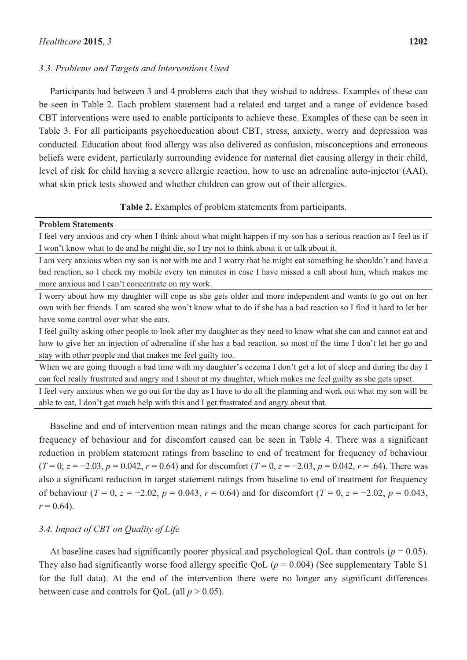#### *3.3. Problems and Targets and Interventions Used*

Participants had between 3 and 4 problems each that they wished to address. Examples of these can be seen in Table 2. Each problem statement had a related end target and a range of evidence based CBT interventions were used to enable participants to achieve these. Examples of these can be seen in Table 3. For all participants psychoeducation about CBT, stress, anxiety, worry and depression was conducted. Education about food allergy was also delivered as confusion, misconceptions and erroneous beliefs were evident, particularly surrounding evidence for maternal diet causing allergy in their child, level of risk for child having a severe allergic reaction, how to use an adrenaline auto-injector (AAI), what skin prick tests showed and whether children can grow out of their allergies.

**Table 2.** Examples of problem statements from participants.

#### **Problem Statements**

I feel very anxious and cry when I think about what might happen if my son has a serious reaction as I feel as if I won't know what to do and he might die, so I try not to think about it or talk about it.

I am very anxious when my son is not with me and I worry that he might eat something he shouldn't and have a bad reaction, so I check my mobile every ten minutes in case I have missed a call about him, which makes me more anxious and I can't concentrate on my work.

I worry about how my daughter will cope as she gets older and more independent and wants to go out on her own with her friends. I am scared she won't know what to do if she has a bad reaction so I find it hard to let her have some control over what she eats.

I feel guilty asking other people to look after my daughter as they need to know what she can and cannot eat and how to give her an injection of adrenaline if she has a bad reaction, so most of the time I don't let her go and stay with other people and that makes me feel guilty too.

When we are going through a bad time with my daughter's eczema I don't get a lot of sleep and during the day I can feel really frustrated and angry and I shout at my daughter, which makes me feel guilty as she gets upset.

I feel very anxious when we go out for the day as I have to do all the planning and work out what my son will be able to eat, I don't get much help with this and I get frustrated and angry about that.

Baseline and end of intervention mean ratings and the mean change scores for each participant for frequency of behaviour and for discomfort caused can be seen in Table 4. There was a significant reduction in problem statement ratings from baseline to end of treatment for frequency of behaviour  $(T=0; z=-2.03, p=0.042, r=0.64)$  and for discomfort  $(T=0, z=-2.03, p=0.042, r=.64)$ . There was also a significant reduction in target statement ratings from baseline to end of treatment for frequency of behaviour ( $T = 0$ ,  $z = -2.02$ ,  $p = 0.043$ ,  $r = 0.64$ ) and for discomfort ( $T = 0$ ,  $z = -2.02$ ,  $p = 0.043$ ,  $r = 0.64$ ).

## *3.4. Impact of CBT on Quality of Life*

At baseline cases had significantly poorer physical and psychological QoL than controls ( $p = 0.05$ ). They also had significantly worse food allergy specific QoL ( $p = 0.004$ ) (See supplementary Table S1) for the full data). At the end of the intervention there were no longer any significant differences between case and controls for QoL (all  $p > 0.05$ ).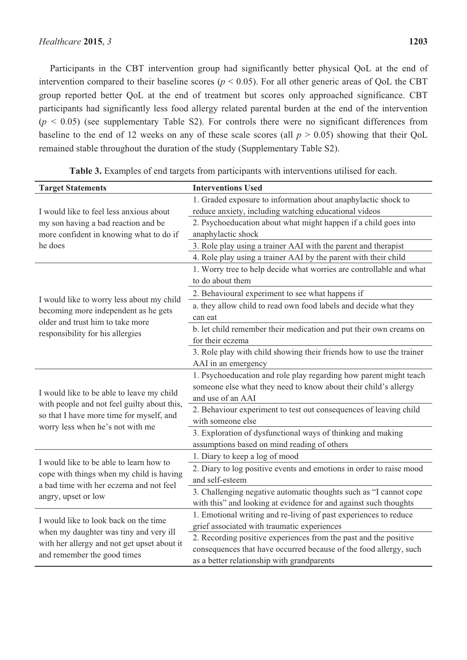Participants in the CBT intervention group had significantly better physical QoL at the end of intervention compared to their baseline scores ( $p < 0.05$ ). For all other generic areas of QoL the CBT group reported better QoL at the end of treatment but scores only approached significance. CBT participants had significantly less food allergy related parental burden at the end of the intervention  $(p < 0.05)$  (see supplementary Table S2). For controls there were no significant differences from baseline to the end of 12 weeks on any of these scale scores (all  $p > 0.05$ ) showing that their QoL remained stable throughout the duration of the study (Supplementary Table S2).

| <b>Target Statements</b>                                                                                   | <b>Interventions Used</b>                                            |  |  |  |
|------------------------------------------------------------------------------------------------------------|----------------------------------------------------------------------|--|--|--|
|                                                                                                            | 1. Graded exposure to information about anaphylactic shock to        |  |  |  |
| I would like to feel less anxious about                                                                    | reduce anxiety, including watching educational videos                |  |  |  |
| my son having a bad reaction and be                                                                        | 2. Psychoeducation about what might happen if a child goes into      |  |  |  |
| more confident in knowing what to do if                                                                    | anaphylactic shock                                                   |  |  |  |
| he does                                                                                                    | 3. Role play using a trainer AAI with the parent and therapist       |  |  |  |
|                                                                                                            | 4. Role play using a trainer AAI by the parent with their child      |  |  |  |
|                                                                                                            | 1. Worry tree to help decide what worries are controllable and what  |  |  |  |
|                                                                                                            | to do about them                                                     |  |  |  |
| I would like to worry less about my child                                                                  | 2. Behavioural experiment to see what happens if                     |  |  |  |
| becoming more independent as he gets                                                                       | a. they allow child to read own food labels and decide what they     |  |  |  |
| older and trust him to take more                                                                           | can eat                                                              |  |  |  |
| responsibility for his allergies                                                                           | b. let child remember their medication and put their own creams on   |  |  |  |
|                                                                                                            | for their eczema                                                     |  |  |  |
|                                                                                                            | 3. Role play with child showing their friends how to use the trainer |  |  |  |
|                                                                                                            | AAI in an emergency                                                  |  |  |  |
|                                                                                                            | 1. Psychoeducation and role play regarding how parent might teach    |  |  |  |
| I would like to be able to leave my child                                                                  | someone else what they need to know about their child's allergy      |  |  |  |
| with people and not feel guilty about this,                                                                | and use of an AAI                                                    |  |  |  |
| so that I have more time for myself, and                                                                   | 2. Behaviour experiment to test out consequences of leaving child    |  |  |  |
| worry less when he's not with me                                                                           | with someone else                                                    |  |  |  |
|                                                                                                            | 3. Exploration of dysfunctional ways of thinking and making          |  |  |  |
|                                                                                                            | assumptions based on mind reading of others                          |  |  |  |
| I would like to be able to learn how to                                                                    | 1. Diary to keep a log of mood                                       |  |  |  |
| cope with things when my child is having<br>a bad time with her eczema and not feel<br>angry, upset or low | 2. Diary to log positive events and emotions in order to raise mood  |  |  |  |
|                                                                                                            | and self-esteem                                                      |  |  |  |
|                                                                                                            | 3. Challenging negative automatic thoughts such as "I cannot cope    |  |  |  |
|                                                                                                            | with this" and looking at evidence for and against such thoughts     |  |  |  |
| I would like to look back on the time                                                                      | 1. Emotional writing and re-living of past experiences to reduce     |  |  |  |
| when my daughter was tiny and very ill                                                                     | grief associated with traumatic experiences                          |  |  |  |
| with her allergy and not get upset about it                                                                | 2. Recording positive experiences from the past and the positive     |  |  |  |
| and remember the good times                                                                                | consequences that have occurred because of the food allergy, such    |  |  |  |
|                                                                                                            | as a better relationship with grandparents                           |  |  |  |

**Table 3.** Examples of end targets from participants with interventions utilised for each.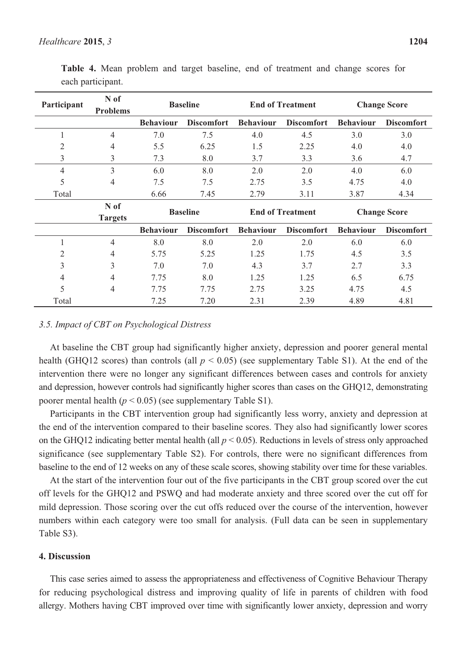| Participant | N of<br><b>Problems</b> |                  | <b>Baseline</b>   |                  | <b>End of Treatment</b> |                  | <b>Change Score</b> |
|-------------|-------------------------|------------------|-------------------|------------------|-------------------------|------------------|---------------------|
|             |                         | <b>Behaviour</b> | <b>Discomfort</b> | <b>Behaviour</b> | <b>Discomfort</b>       | <b>Behaviour</b> | <b>Discomfort</b>   |
| 1           | $\overline{4}$          | 7.0              | 7.5               | 4.0              | 4.5                     | 3.0              | 3.0                 |
| 2           | 4                       | 5.5              | 6.25              | 1.5              | 2.25                    | 4.0              | 4.0                 |
| 3           | 3                       | 7.3              | 8.0               | 3.7              | 3.3                     | 3.6              | 4.7                 |
| 4           | 3                       | 6.0              | 8.0               | 2.0              | 2.0                     | 4.0              | 6.0                 |
| 5           | $\overline{4}$          | 7.5              | 7.5               | 2.75             | 3.5                     | 4.75             | 4.0                 |
| Total       |                         | 6.66             | 7.45              | 2.79             | 3.11                    | 3.87             | 4.34                |
|             | N of<br><b>Targets</b>  |                  | <b>Baseline</b>   |                  | <b>End of Treatment</b> |                  | <b>Change Score</b> |
|             |                         | <b>Behaviour</b> | <b>Discomfort</b> | <b>Behaviour</b> | <b>Discomfort</b>       | <b>Behaviour</b> | <b>Discomfort</b>   |
| 1           | 4                       | 8.0              | 8.0               | 2.0              | 2.0                     | 6.0              | 6.0                 |
| 2           | 4                       | 5.75             | 5.25              | 1.25             | 1.75                    | 4.5              | 3.5                 |
| 3           | 3                       | 7.0              | 7.0               | 4.3              | 3.7                     | 2.7              | 3.3                 |
| 4           | $\overline{4}$          | 7.75             | 8.0               | 1.25             | 1.25                    | 6.5              | 6.75                |
| 5           | 4                       | 7.75             | 7.75              | 2.75             | 3.25                    | 4.75             | 4.5                 |

**Table 4.** Mean problem and target baseline, end of treatment and change scores for each participant.

#### *3.5. Impact of CBT on Psychological Distress*

At baseline the CBT group had significantly higher anxiety, depression and poorer general mental health (GHQ12 scores) than controls (all  $p < 0.05$ ) (see supplementary Table S1). At the end of the intervention there were no longer any significant differences between cases and controls for anxiety and depression, however controls had significantly higher scores than cases on the GHQ12, demonstrating poorer mental health  $(p < 0.05)$  (see supplementary Table S1).

Total 7.25 7.20 2.31 2.39 4.89 4.81

Participants in the CBT intervention group had significantly less worry, anxiety and depression at the end of the intervention compared to their baseline scores. They also had significantly lower scores on the GHQ12 indicating better mental health (all *p* < 0.05). Reductions in levels of stress only approached significance (see supplementary Table S2). For controls, there were no significant differences from baseline to the end of 12 weeks on any of these scale scores, showing stability over time for these variables.

At the start of the intervention four out of the five participants in the CBT group scored over the cut off levels for the GHQ12 and PSWQ and had moderate anxiety and three scored over the cut off for mild depression. Those scoring over the cut offs reduced over the course of the intervention, however numbers within each category were too small for analysis. (Full data can be seen in supplementary Table S3).

#### **4. Discussion**

This case series aimed to assess the appropriateness and effectiveness of Cognitive Behaviour Therapy for reducing psychological distress and improving quality of life in parents of children with food allergy. Mothers having CBT improved over time with significantly lower anxiety, depression and worry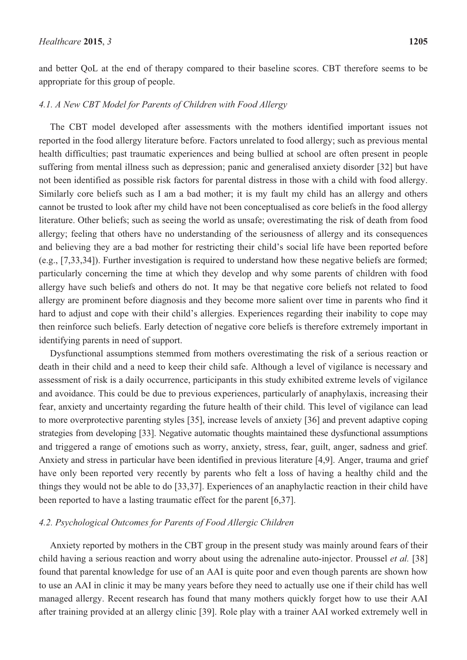and better QoL at the end of therapy compared to their baseline scores. CBT therefore seems to be appropriate for this group of people.

#### *4.1. A New CBT Model for Parents of Children with Food Allergy*

The CBT model developed after assessments with the mothers identified important issues not reported in the food allergy literature before. Factors unrelated to food allergy; such as previous mental health difficulties; past traumatic experiences and being bullied at school are often present in people suffering from mental illness such as depression; panic and generalised anxiety disorder [32] but have not been identified as possible risk factors for parental distress in those with a child with food allergy. Similarly core beliefs such as I am a bad mother; it is my fault my child has an allergy and others cannot be trusted to look after my child have not been conceptualised as core beliefs in the food allergy literature. Other beliefs; such as seeing the world as unsafe; overestimating the risk of death from food allergy; feeling that others have no understanding of the seriousness of allergy and its consequences and believing they are a bad mother for restricting their child's social life have been reported before (e.g., [7,33,34]). Further investigation is required to understand how these negative beliefs are formed; particularly concerning the time at which they develop and why some parents of children with food allergy have such beliefs and others do not. It may be that negative core beliefs not related to food allergy are prominent before diagnosis and they become more salient over time in parents who find it hard to adjust and cope with their child's allergies. Experiences regarding their inability to cope may then reinforce such beliefs. Early detection of negative core beliefs is therefore extremely important in identifying parents in need of support.

Dysfunctional assumptions stemmed from mothers overestimating the risk of a serious reaction or death in their child and a need to keep their child safe. Although a level of vigilance is necessary and assessment of risk is a daily occurrence, participants in this study exhibited extreme levels of vigilance and avoidance. This could be due to previous experiences, particularly of anaphylaxis, increasing their fear, anxiety and uncertainty regarding the future health of their child. This level of vigilance can lead to more overprotective parenting styles [35], increase levels of anxiety [36] and prevent adaptive coping strategies from developing [33]. Negative automatic thoughts maintained these dysfunctional assumptions and triggered a range of emotions such as worry, anxiety, stress, fear, guilt, anger, sadness and grief. Anxiety and stress in particular have been identified in previous literature [4,9]. Anger, trauma and grief have only been reported very recently by parents who felt a loss of having a healthy child and the things they would not be able to do [33,37]. Experiences of an anaphylactic reaction in their child have been reported to have a lasting traumatic effect for the parent [6,37].

## *4.2. Psychological Outcomes for Parents of Food Allergic Children*

Anxiety reported by mothers in the CBT group in the present study was mainly around fears of their child having a serious reaction and worry about using the adrenaline auto-injector. Proussel *et al.* [38] found that parental knowledge for use of an AAI is quite poor and even though parents are shown how to use an AAI in clinic it may be many years before they need to actually use one if their child has well managed allergy. Recent research has found that many mothers quickly forget how to use their AAI after training provided at an allergy clinic [39]. Role play with a trainer AAI worked extremely well in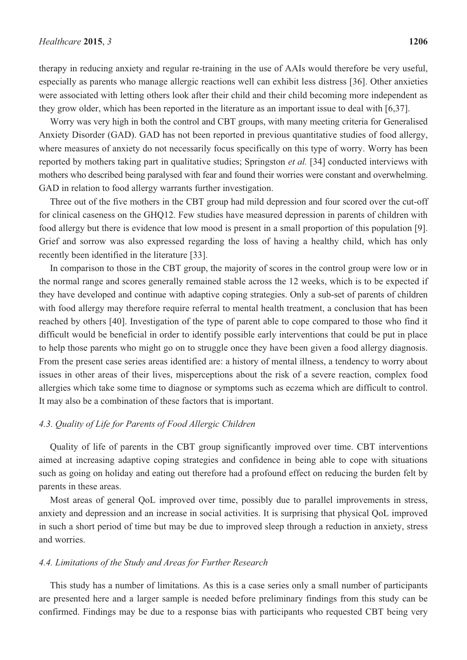therapy in reducing anxiety and regular re-training in the use of AAIs would therefore be very useful, especially as parents who manage allergic reactions well can exhibit less distress [36]. Other anxieties were associated with letting others look after their child and their child becoming more independent as they grow older, which has been reported in the literature as an important issue to deal with [6,37].

Worry was very high in both the control and CBT groups, with many meeting criteria for Generalised Anxiety Disorder (GAD). GAD has not been reported in previous quantitative studies of food allergy, where measures of anxiety do not necessarily focus specifically on this type of worry. Worry has been reported by mothers taking part in qualitative studies; Springston *et al.* [34] conducted interviews with mothers who described being paralysed with fear and found their worries were constant and overwhelming. GAD in relation to food allergy warrants further investigation.

Three out of the five mothers in the CBT group had mild depression and four scored over the cut-off for clinical caseness on the GHQ12. Few studies have measured depression in parents of children with food allergy but there is evidence that low mood is present in a small proportion of this population [9]. Grief and sorrow was also expressed regarding the loss of having a healthy child, which has only recently been identified in the literature [33].

In comparison to those in the CBT group, the majority of scores in the control group were low or in the normal range and scores generally remained stable across the 12 weeks, which is to be expected if they have developed and continue with adaptive coping strategies. Only a sub-set of parents of children with food allergy may therefore require referral to mental health treatment, a conclusion that has been reached by others [40]. Investigation of the type of parent able to cope compared to those who find it difficult would be beneficial in order to identify possible early interventions that could be put in place to help those parents who might go on to struggle once they have been given a food allergy diagnosis. From the present case series areas identified are: a history of mental illness, a tendency to worry about issues in other areas of their lives, misperceptions about the risk of a severe reaction, complex food allergies which take some time to diagnose or symptoms such as eczema which are difficult to control. It may also be a combination of these factors that is important.

## *4.3. Quality of Life for Parents of Food Allergic Children*

Quality of life of parents in the CBT group significantly improved over time. CBT interventions aimed at increasing adaptive coping strategies and confidence in being able to cope with situations such as going on holiday and eating out therefore had a profound effect on reducing the burden felt by parents in these areas.

Most areas of general QoL improved over time, possibly due to parallel improvements in stress, anxiety and depression and an increase in social activities. It is surprising that physical QoL improved in such a short period of time but may be due to improved sleep through a reduction in anxiety, stress and worries.

#### *4.4. Limitations of the Study and Areas for Further Research*

This study has a number of limitations. As this is a case series only a small number of participants are presented here and a larger sample is needed before preliminary findings from this study can be confirmed. Findings may be due to a response bias with participants who requested CBT being very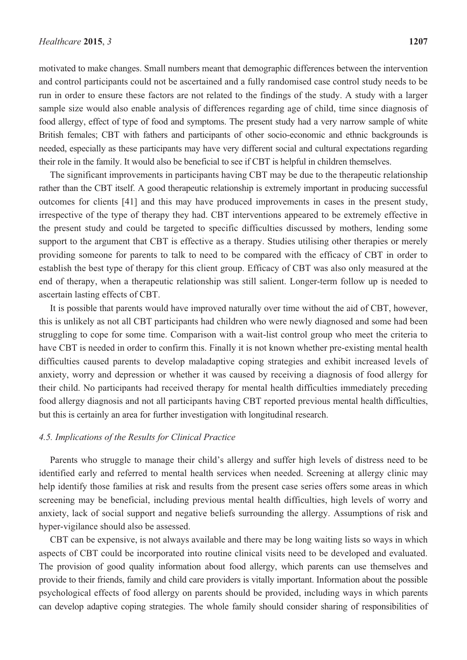motivated to make changes. Small numbers meant that demographic differences between the intervention and control participants could not be ascertained and a fully randomised case control study needs to be run in order to ensure these factors are not related to the findings of the study. A study with a larger sample size would also enable analysis of differences regarding age of child, time since diagnosis of food allergy, effect of type of food and symptoms. The present study had a very narrow sample of white British females; CBT with fathers and participants of other socio-economic and ethnic backgrounds is needed, especially as these participants may have very different social and cultural expectations regarding their role in the family. It would also be beneficial to see if CBT is helpful in children themselves.

The significant improvements in participants having CBT may be due to the therapeutic relationship rather than the CBT itself. A good therapeutic relationship is extremely important in producing successful outcomes for clients [41] and this may have produced improvements in cases in the present study, irrespective of the type of therapy they had. CBT interventions appeared to be extremely effective in the present study and could be targeted to specific difficulties discussed by mothers, lending some support to the argument that CBT is effective as a therapy. Studies utilising other therapies or merely providing someone for parents to talk to need to be compared with the efficacy of CBT in order to establish the best type of therapy for this client group. Efficacy of CBT was also only measured at the end of therapy, when a therapeutic relationship was still salient. Longer-term follow up is needed to ascertain lasting effects of CBT.

It is possible that parents would have improved naturally over time without the aid of CBT, however, this is unlikely as not all CBT participants had children who were newly diagnosed and some had been struggling to cope for some time. Comparison with a wait-list control group who meet the criteria to have CBT is needed in order to confirm this. Finally it is not known whether pre-existing mental health difficulties caused parents to develop maladaptive coping strategies and exhibit increased levels of anxiety, worry and depression or whether it was caused by receiving a diagnosis of food allergy for their child. No participants had received therapy for mental health difficulties immediately preceding food allergy diagnosis and not all participants having CBT reported previous mental health difficulties, but this is certainly an area for further investigation with longitudinal research.

## *4.5. Implications of the Results for Clinical Practice*

Parents who struggle to manage their child's allergy and suffer high levels of distress need to be identified early and referred to mental health services when needed. Screening at allergy clinic may help identify those families at risk and results from the present case series offers some areas in which screening may be beneficial, including previous mental health difficulties, high levels of worry and anxiety, lack of social support and negative beliefs surrounding the allergy. Assumptions of risk and hyper-vigilance should also be assessed.

CBT can be expensive, is not always available and there may be long waiting lists so ways in which aspects of CBT could be incorporated into routine clinical visits need to be developed and evaluated. The provision of good quality information about food allergy, which parents can use themselves and provide to their friends, family and child care providers is vitally important. Information about the possible psychological effects of food allergy on parents should be provided, including ways in which parents can develop adaptive coping strategies. The whole family should consider sharing of responsibilities of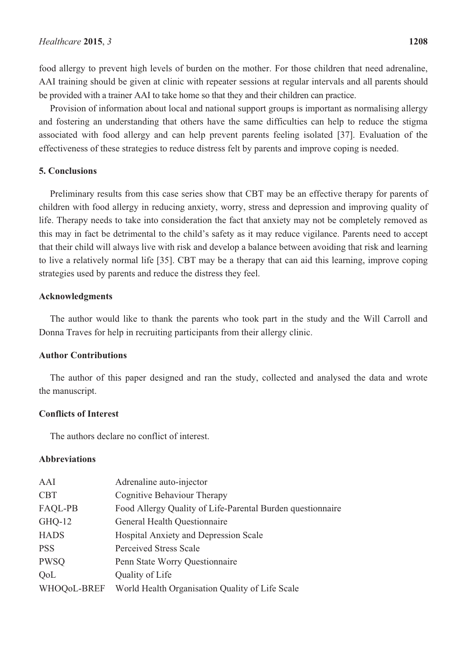food allergy to prevent high levels of burden on the mother. For those children that need adrenaline, AAI training should be given at clinic with repeater sessions at regular intervals and all parents should be provided with a trainer AAI to take home so that they and their children can practice.

Provision of information about local and national support groups is important as normalising allergy and fostering an understanding that others have the same difficulties can help to reduce the stigma associated with food allergy and can help prevent parents feeling isolated [37]. Evaluation of the effectiveness of these strategies to reduce distress felt by parents and improve coping is needed.

# **5. Conclusions**

Preliminary results from this case series show that CBT may be an effective therapy for parents of children with food allergy in reducing anxiety, worry, stress and depression and improving quality of life. Therapy needs to take into consideration the fact that anxiety may not be completely removed as this may in fact be detrimental to the child's safety as it may reduce vigilance. Parents need to accept that their child will always live with risk and develop a balance between avoiding that risk and learning to live a relatively normal life [35]. CBT may be a therapy that can aid this learning, improve coping strategies used by parents and reduce the distress they feel.

## **Acknowledgments**

The author would like to thank the parents who took part in the study and the Will Carroll and Donna Traves for help in recruiting participants from their allergy clinic.

# **Author Contributions**

The author of this paper designed and ran the study, collected and analysed the data and wrote the manuscript.

# **Conflicts of Interest**

The authors declare no conflict of interest.

#### **Abbreviations**

| AAI         | Adrenaline auto-injector                                   |
|-------------|------------------------------------------------------------|
| <b>CBT</b>  | Cognitive Behaviour Therapy                                |
| FAQL-PB     | Food Allergy Quality of Life-Parental Burden questionnaire |
| $GHQ-12$    | General Health Questionnaire                               |
| <b>HADS</b> | Hospital Anxiety and Depression Scale                      |
| <b>PSS</b>  | <b>Perceived Stress Scale</b>                              |
| <b>PWSQ</b> | Penn State Worry Questionnaire                             |
| <b>OoL</b>  | Quality of Life                                            |
| WHOQoL-BREF | World Health Organisation Quality of Life Scale            |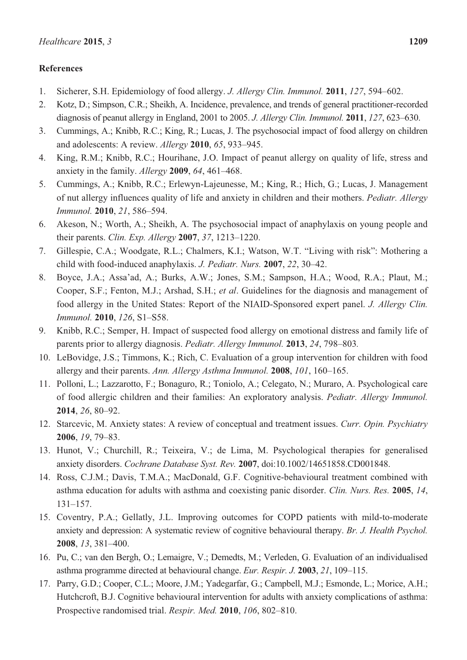# **References**

- 1. Sicherer, S.H. Epidemiology of food allergy. *J. Allergy Clin. Immunol.* **2011**, *127*, 594–602.
- 2. Kotz, D.; Simpson, C.R.; Sheikh, A. Incidence, prevalence, and trends of general practitioner-recorded diagnosis of peanut allergy in England, 2001 to 2005. *J. Allergy Clin. Immunol.* **2011**, *127*, 623–630.
- 3. Cummings, A.; Knibb, R.C.; King, R.; Lucas, J. The psychosocial impact of food allergy on children and adolescents: A review. *Allergy* **2010**, *65*, 933–945.
- 4. King, R.M.; Knibb, R.C.; Hourihane, J.O. Impact of peanut allergy on quality of life, stress and anxiety in the family. *Allergy* **2009**, *64*, 461–468.
- 5. Cummings, A.; Knibb, R.C.; Erlewyn-Lajeunesse, M.; King, R.; Hich, G.; Lucas, J. Management of nut allergy influences quality of life and anxiety in children and their mothers. *Pediatr. Allergy Immunol.* **2010**, *21*, 586–594.
- 6. Akeson, N.; Worth, A.; Sheikh, A. The psychosocial impact of anaphylaxis on young people and their parents. *Clin. Exp. Allergy* **2007**, *37*, 1213–1220.
- 7. Gillespie, C.A.; Woodgate, R.L.; Chalmers, K.I.; Watson, W.T. "Living with risk": Mothering a child with food-induced anaphylaxis. *J. Pediatr. Nurs.* **2007**, *22*, 30–42.
- 8. Boyce, J.A.; Assa'ad, A.; Burks, A.W.; Jones, S.M.; Sampson, H.A.; Wood, R.A.; Plaut, M.; Cooper, S.F.; Fenton, M.J.; Arshad, S.H.; *et al*. Guidelines for the diagnosis and management of food allergy in the United States: Report of the NIAID-Sponsored expert panel. *J. Allergy Clin. Immunol.* **2010**, *126*, S1–S58.
- 9. Knibb, R.C.; Semper, H. Impact of suspected food allergy on emotional distress and family life of parents prior to allergy diagnosis. *Pediatr. Allergy Immunol.* **2013**, *24*, 798–803*.*
- 10. LeBovidge, J.S.; Timmons, K.; Rich, C. Evaluation of a group intervention for children with food allergy and their parents. *Ann. Allergy Asthma Immunol.* **2008**, *101*, 160–165.
- 11. Polloni, L.; Lazzarotto, F.; Bonaguro, R.; Toniolo, A.; Celegato, N.; Muraro, A. Psychological care of food allergic children and their families: An exploratory analysis. *Pediatr. Allergy Immunol.* **2014**, *26*, 80–92.
- 12. Starcevic, M. Anxiety states: A review of conceptual and treatment issues. *Curr. Opin. Psychiatry* **2006**, *19*, 79–83.
- 13. Hunot, V.; Churchill, R.; Teixeira, V.; de Lima, M. Psychological therapies for generalised anxiety disorders. *Cochrane Database Syst. Rev.* **2007**, doi:10.1002/14651858.CD001848.
- 14. Ross, C.J.M.; Davis, T.M.A.; MacDonald, G.F. Cognitive-behavioural treatment combined with asthma education for adults with asthma and coexisting panic disorder. *Clin. Nurs. Res.* **2005**, *14*, 131–157.
- 15. Coventry, P.A.; Gellatly, J.L. Improving outcomes for COPD patients with mild-to-moderate anxiety and depression: A systematic review of cognitive behavioural therapy. *Br. J. Health Psychol.* **2008**, *13*, 381–400.
- 16. Pu, C.; van den Bergh, O.; Lemaigre, V.; Demedts, M.; Verleden, G. Evaluation of an individualised asthma programme directed at behavioural change. *Eur. Respir. J.* **2003**, *21*, 109–115.
- 17. Parry, G.D.; Cooper, C.L.; Moore, J.M.; Yadegarfar, G.; Campbell, M.J.; Esmonde, L.; Morice, A.H.; Hutchcroft, B.J. Cognitive behavioural intervention for adults with anxiety complications of asthma: Prospective randomised trial. *Respir. Med.* **2010**, *106*, 802–810.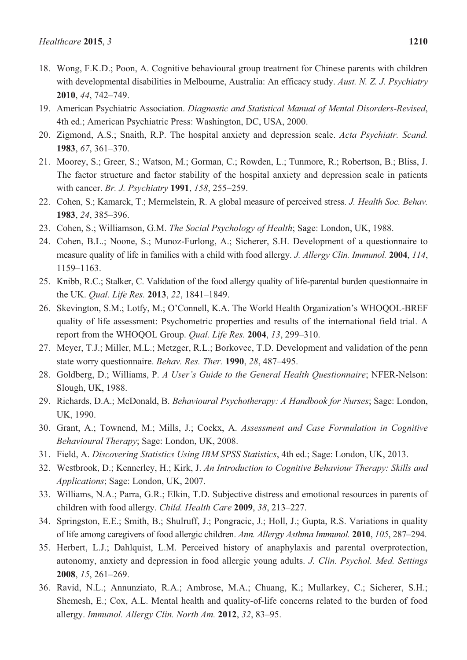- 18. Wong, F.K.D.; Poon, A. Cognitive behavioural group treatment for Chinese parents with children with developmental disabilities in Melbourne, Australia: An efficacy study. *Aust. N. Z. J. Psychiatry* **2010**, *44*, 742–749.
- 19. American Psychiatric Association. *Diagnostic and Statistical Manual of Mental Disorders-Revised*, 4th ed.; American Psychiatric Press: Washington, DC, USA, 2000.
- 20. Zigmond, A.S.; Snaith, R.P. The hospital anxiety and depression scale. *Acta Psychiatr. Scand.* **1983**, *67*, 361–370.
- 21. Moorey, S.; Greer, S.; Watson, M.; Gorman, C.; Rowden, L.; Tunmore, R.; Robertson, B.; Bliss, J. The factor structure and factor stability of the hospital anxiety and depression scale in patients with cancer. *Br. J. Psychiatry* **1991**, *158*, 255–259.
- 22. Cohen, S.; Kamarck, T.; Mermelstein, R. A global measure of perceived stress. *J. Health Soc. Behav.* **1983**, *24*, 385–396.
- 23. Cohen, S.; Williamson, G.M. *The Social Psychology of Health*; Sage: London, UK, 1988.
- 24. Cohen, B.L.; Noone, S.; Munoz-Furlong, A.; Sicherer, S.H. Development of a questionnaire to measure quality of life in families with a child with food allergy. *J. Allergy Clin. Immunol.* **2004**, *114*, 1159–1163.
- 25. Knibb, R.C.; Stalker, C. Validation of the food allergy quality of life-parental burden questionnaire in the UK. *Qual. Life Res.* **2013**, *22*, 1841–1849.
- 26. Skevington, S.M.; Lotfy, M.; O'Connell, K.A. The World Health Organization's WHOQOL-BREF quality of life assessment: Psychometric properties and results of the international field trial. A report from the WHOQOL Group. *Qual. Life Res.* **2004**, *13*, 299–310.
- 27. Meyer, T.J.; Miller, M.L.; Metzger, R.L.; Borkovec, T.D. Development and validation of the penn state worry questionnaire. *Behav. Res. Ther.* **1990**, *28*, 487–495.
- 28. Goldberg, D.; Williams, P. *A User's Guide to the General Health Questionnaire*; NFER-Nelson: Slough, UK, 1988.
- 29. Richards, D.A.; McDonald, B. *Behavioural Psychotherapy: A Handbook for Nurses*; Sage: London, UK, 1990.
- 30. Grant, A.; Townend, M.; Mills, J.; Cockx, A. *Assessment and Case Formulation in Cognitive Behavioural Therapy*; Sage: London, UK, 2008.
- 31. Field, A. *Discovering Statistics Using IBM SPSS Statistics*, 4th ed.; Sage: London, UK, 2013.
- 32. Westbrook, D.; Kennerley, H.; Kirk, J. *An Introduction to Cognitive Behaviour Therapy: Skills and Applications*; Sage: London, UK, 2007.
- 33. Williams, N.A.; Parra, G.R.; Elkin, T.D. Subjective distress and emotional resources in parents of children with food allergy. *Child. Health Care* **2009**, *38*, 213–227.
- 34. Springston, E.E.; Smith, B.; Shulruff, J.; Pongracic, J.; Holl, J.; Gupta, R.S. Variations in quality of life among caregivers of food allergic children. *Ann. Allergy Asthma Immunol.* **2010**, *105*, 287–294.
- 35. Herbert, L.J.; Dahlquist, L.M. Perceived history of anaphylaxis and parental overprotection, autonomy, anxiety and depression in food allergic young adults. *J. Clin. Psychol. Med. Settings* **2008**, *15*, 261–269.
- 36. Ravid, N.L.; Annunziato, R.A.; Ambrose, M.A.; Chuang, K.; Mullarkey, C.; Sicherer, S.H.; Shemesh, E.; Cox, A.L. Mental health and quality-of-life concerns related to the burden of food allergy. *Immunol. Allergy Clin. North Am.* **2012**, *32*, 83–95.